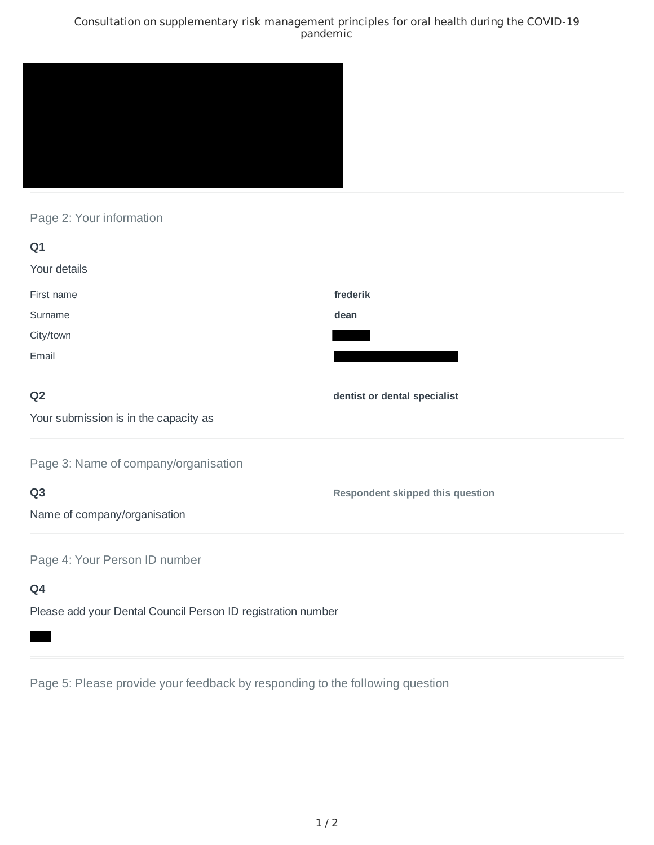### Consultation on supplementary risk management principles for oral health during the COVID-19 pandemic



# Page 2: Your information

| Q1                                                           |                                         |
|--------------------------------------------------------------|-----------------------------------------|
| Your details                                                 |                                         |
| First name                                                   | frederik                                |
| Surname                                                      | dean                                    |
| City/town                                                    |                                         |
| Email                                                        |                                         |
| Q <sub>2</sub>                                               | dentist or dental specialist            |
| Your submission is in the capacity as                        |                                         |
| Page 3: Name of company/organisation                         |                                         |
| Q <sub>3</sub>                                               | <b>Respondent skipped this question</b> |
| Name of company/organisation                                 |                                         |
| Page 4: Your Person ID number                                |                                         |
| Q4                                                           |                                         |
| Please add your Dental Council Person ID registration number |                                         |

Page 5: Please provide your feedback by responding to the following question